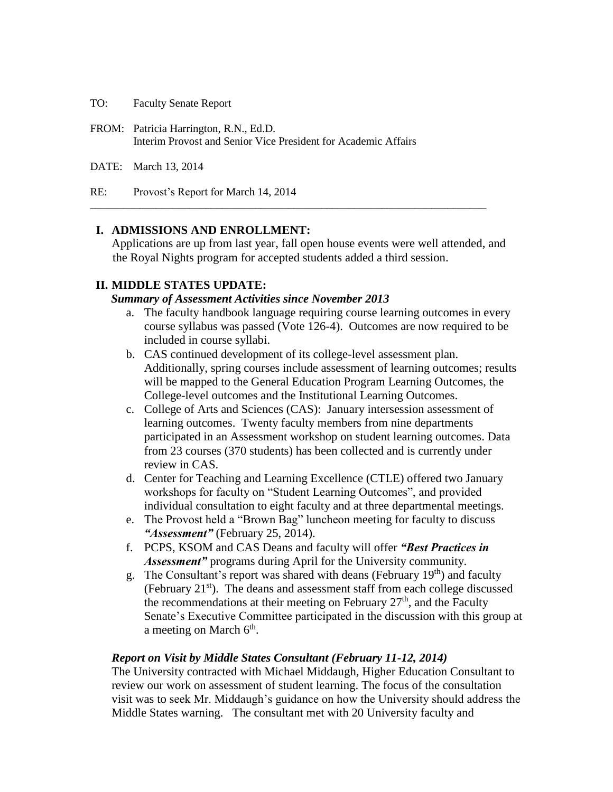TO: Faculty Senate Report

- FROM: Patricia Harrington, R.N., Ed.D. Interim Provost and Senior Vice President for Academic Affairs
- DATE: March 13, 2014

RE: Provost's Report for March 14, 2014

### **I. ADMISSIONS AND ENROLLMENT:**

Applications are up from last year, fall open house events were well attended, and the Royal Nights program for accepted students added a third session.

**\_\_\_\_\_\_\_\_\_\_\_\_\_\_\_\_\_\_\_\_\_\_\_\_\_\_\_\_\_\_\_\_\_\_\_\_\_\_\_\_\_\_\_\_\_\_\_\_\_\_\_\_\_\_\_\_\_\_\_\_\_\_\_\_\_\_\_\_\_\_\_\_**

### **II. MIDDLE STATES UPDATE:**

#### *Summary of Assessment Activities since November 2013*

- a. The faculty handbook language requiring course learning outcomes in every course syllabus was passed (Vote 126-4). Outcomes are now required to be included in course syllabi.
- b. CAS continued development of its college-level assessment plan. Additionally, spring courses include assessment of learning outcomes; results will be mapped to the General Education Program Learning Outcomes, the College-level outcomes and the Institutional Learning Outcomes.
- c. College of Arts and Sciences (CAS): January intersession assessment of learning outcomes. Twenty faculty members from nine departments participated in an Assessment workshop on student learning outcomes. Data from 23 courses (370 students) has been collected and is currently under review in CAS.
- d. Center for Teaching and Learning Excellence (CTLE) offered two January workshops for faculty on "Student Learning Outcomes", and provided individual consultation to eight faculty and at three departmental meetings.
- e. The Provost held a "Brown Bag" luncheon meeting for faculty to discuss *"Assessment"* (February 25, 2014).
- f. PCPS, KSOM and CAS Deans and faculty will offer *"Best Practices in Assessment"* programs during April for the University community.
- g. The Consultant's report was shared with deans (February  $19<sup>th</sup>$ ) and faculty (February 21<sup>st</sup>). The deans and assessment staff from each college discussed the recommendations at their meeting on February  $27<sup>th</sup>$ , and the Faculty Senate's Executive Committee participated in the discussion with this group at a meeting on March  $6<sup>th</sup>$ .

### *Report on Visit by Middle States Consultant (February 11-12, 2014)*

The University contracted with Michael Middaugh, Higher Education Consultant to review our work on assessment of student learning. The focus of the consultation visit was to seek Mr. Middaugh's guidance on how the University should address the Middle States warning. The consultant met with 20 University faculty and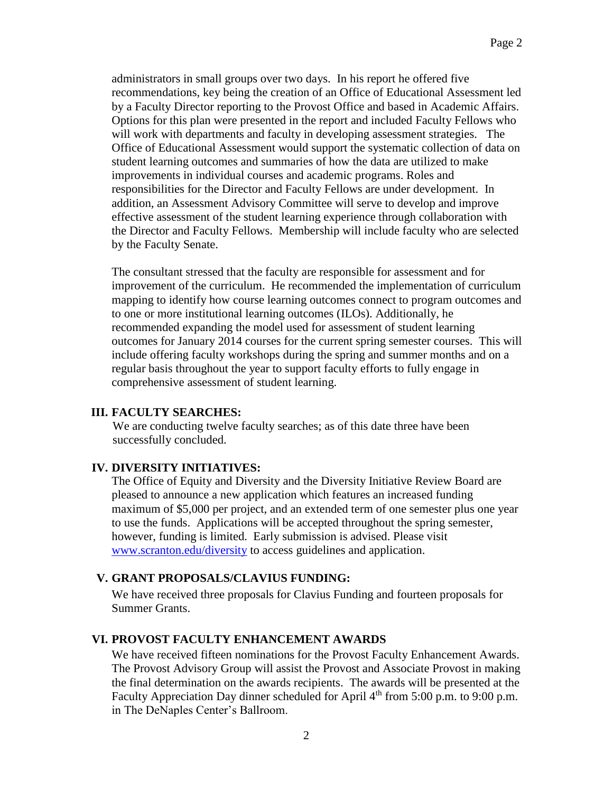administrators in small groups over two days. In his report he offered five recommendations, key being the creation of an Office of Educational Assessment led by a Faculty Director reporting to the Provost Office and based in Academic Affairs. Options for this plan were presented in the report and included Faculty Fellows who will work with departments and faculty in developing assessment strategies. The Office of Educational Assessment would support the systematic collection of data on student learning outcomes and summaries of how the data are utilized to make improvements in individual courses and academic programs. Roles and responsibilities for the Director and Faculty Fellows are under development. In addition, an Assessment Advisory Committee will serve to develop and improve effective assessment of the student learning experience through collaboration with the Director and Faculty Fellows. Membership will include faculty who are selected by the Faculty Senate.

The consultant stressed that the faculty are responsible for assessment and for improvement of the curriculum. He recommended the implementation of curriculum mapping to identify how course learning outcomes connect to program outcomes and to one or more institutional learning outcomes (ILOs). Additionally, he recommended expanding the model used for assessment of student learning outcomes for January 2014 courses for the current spring semester courses. This will include offering faculty workshops during the spring and summer months and on a regular basis throughout the year to support faculty efforts to fully engage in comprehensive assessment of student learning.

### **III. FACULTY SEARCHES:**

We are conducting twelve faculty searches; as of this date three have been successfully concluded.

# **IV. DIVERSITY INITIATIVES:**

The Office of Equity and Diversity and the Diversity Initiative Review Board are pleased to announce a new application which features an increased funding maximum of \$5,000 per project, and an extended term of one semester plus one year to use the funds. Applications will be accepted throughout the spring semester, however, funding is limited. Early submission is advised. Please visit [www.scranton.edu/diversity](http://www.scranton.edu/diversity) to access guidelines and application.

# **V. GRANT PROPOSALS/CLAVIUS FUNDING:**

We have received three proposals for Clavius Funding and fourteen proposals for Summer Grants.

# **VI. PROVOST FACULTY ENHANCEMENT AWARDS**

We have received fifteen nominations for the Provost Faculty Enhancement Awards. The Provost Advisory Group will assist the Provost and Associate Provost in making the final determination on the awards recipients. The awards will be presented at the Faculty Appreciation Day dinner scheduled for April 4<sup>th</sup> from 5:00 p.m. to 9:00 p.m. in The DeNaples Center's Ballroom.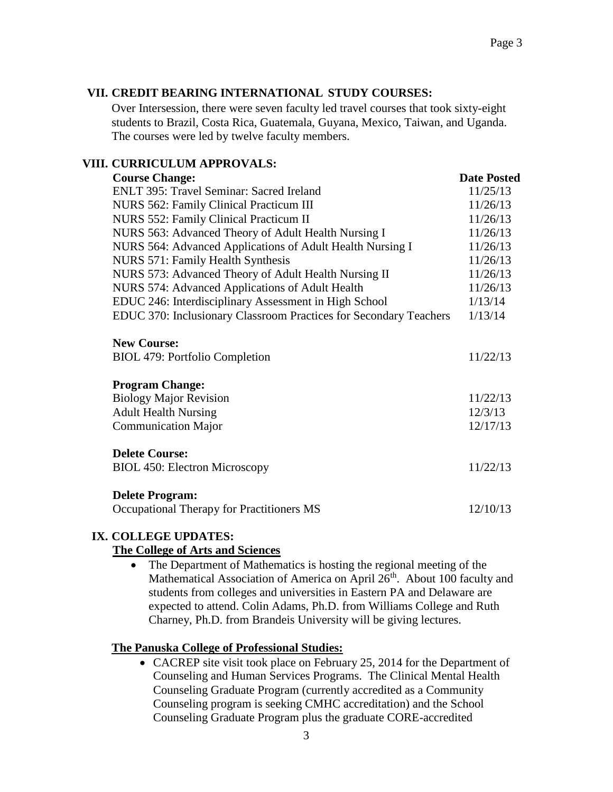# **VII. CREDIT BEARING INTERNATIONAL STUDY COURSES:**

Over Intersession, there were seven faculty led travel courses that took sixty-eight students to Brazil, Costa Rica, Guatemala, Guyana, Mexico, Taiwan, and Uganda. The courses were led by twelve faculty members.

# **VIII. CURRICULUM APPROVALS:**

| <b>Course Change:</b>                                               | <b>Date Posted</b> |
|---------------------------------------------------------------------|--------------------|
| ENLT 395: Travel Seminar: Sacred Ireland                            | 11/25/13           |
| NURS 562: Family Clinical Practicum III                             | 11/26/13           |
| <b>NURS 552: Family Clinical Practicum II</b>                       | 11/26/13           |
| NURS 563: Advanced Theory of Adult Health Nursing I                 | 11/26/13           |
| NURS 564: Advanced Applications of Adult Health Nursing I           | 11/26/13           |
| NURS 571: Family Health Synthesis                                   | 11/26/13           |
| NURS 573: Advanced Theory of Adult Health Nursing II                | 11/26/13           |
| NURS 574: Advanced Applications of Adult Health                     | 11/26/13           |
| EDUC 246: Interdisciplinary Assessment in High School               | 1/13/14            |
| EDUC 370: Inclusionary Classroom Practices for Secondary Teachers   | 1/13/14            |
| <b>New Course:</b><br><b>BIOL 479: Portfolio Completion</b>         | 11/22/13           |
| <b>Program Change:</b>                                              |                    |
| <b>Biology Major Revision</b>                                       | 11/22/13           |
| <b>Adult Health Nursing</b>                                         | 12/3/13            |
| <b>Communication Major</b>                                          | 12/17/13           |
| <b>Delete Course:</b><br><b>BIOL 450: Electron Microscopy</b>       | 11/22/13           |
| <b>Delete Program:</b><br>Occupational Therapy for Practitioners MS | 12/10/13           |
|                                                                     |                    |

# **IX. COLLEGE UPDATES:**

# **The College of Arts and Sciences**

• The Department of Mathematics is hosting the regional meeting of the Mathematical Association of America on April 26<sup>th</sup>. About 100 faculty and students from colleges and universities in Eastern PA and Delaware are expected to attend. Colin Adams, Ph.D. from Williams College and Ruth Charney, Ph.D. from Brandeis University will be giving lectures.

# **The Panuska College of Professional Studies:**

• CACREP site visit took place on February 25, 2014 for the Department of Counseling and Human Services Programs. The Clinical Mental Health Counseling Graduate Program (currently accredited as a Community Counseling program is seeking CMHC accreditation) and the School Counseling Graduate Program plus the graduate CORE-accredited